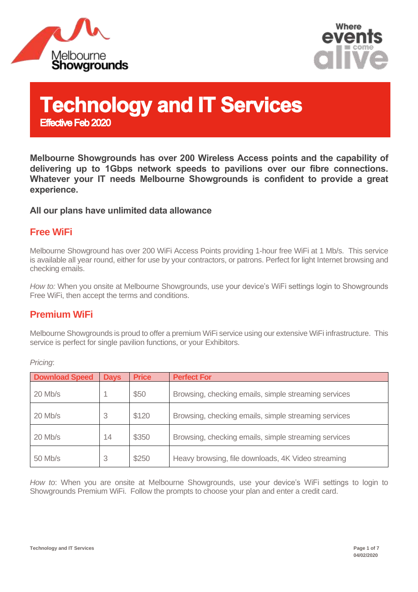



# **Technology and IT Services Effective Feb 2020**

**Melbourne Showgrounds has over 200 Wireless Access points and the capability of delivering up to 1Gbps network speeds to pavilions over our fibre connections. Whatever your IT needs Melbourne Showgrounds is confident to provide a great experience.** 

#### **All our plans have unlimited data allowance**

#### **Free WiFi**

Melbourne Showground has over 200 WiFi Access Points providing 1-hour free WiFi at 1 Mb/s. This service is available all year round, either for use by your contractors, or patrons. Perfect for light Internet browsing and checking emails.

*How to:* When you onsite at Melbourne Showgrounds, use your device's WiFi settings login to Showgrounds Free WiFi, then accept the terms and conditions.

#### **Premium WiFi**

Melbourne Showgrounds is proud to offer a premium WiFi service using our extensive WiFi infrastructure. This service is perfect for single pavilion functions, or your Exhibitors.

| <b>Download Speed</b> | <b>Days</b> | <b>Price</b> | <b>Perfect For</b>                                   |
|-----------------------|-------------|--------------|------------------------------------------------------|
| 20 Mb/s               |             | \$50         | Browsing, checking emails, simple streaming services |
| $20$ Mb/s             |             | \$120        | Browsing, checking emails, simple streaming services |
| $20$ Mb/s             | 14          | \$350        | Browsing, checking emails, simple streaming services |
| 50 Mb/s               |             | \$250        | Heavy browsing, file downloads, 4K Video streaming   |

*Pricing*:

*How to*: When you are onsite at Melbourne Showgrounds, use your device's WiFi settings to login to Showgrounds Premium WiFi. Follow the prompts to choose your plan and enter a credit card.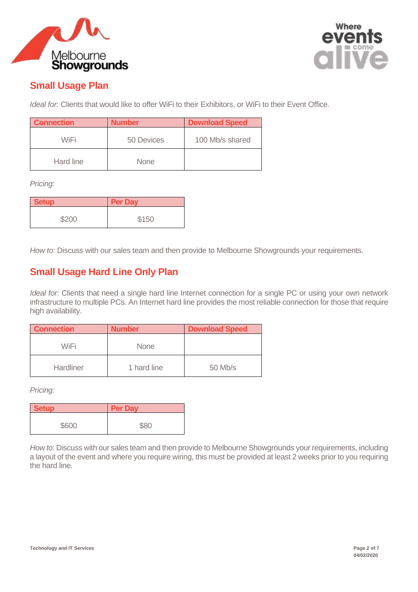



## **Small Usage Plan**

*Ideal for*: Clients that would like to offer WiFi to their Exhibitors, or WiFi to their Event Office.

| <b>Connection</b> | <b>Number</b> | <b>Download Speed</b> |
|-------------------|---------------|-----------------------|
| WiFi              | 50 Devices    | 100 Mb/s shared       |
| Hard line         | <b>None</b>   |                       |

*Pricing:* 

| <b>Setup</b> | <b>Per Day</b> |
|--------------|----------------|
| \$200        | \$150          |

*How to*: Discuss with our sales team and then provide to Melbourne Showgrounds your requirements.

## **Small Usage Hard Line Only Plan**

*Ideal for*: Clients that need a single hard line Internet connection for a single PC or using your own network infrastructure to multiple PCs. An Internet hard line provides the most reliable connection for those that require high availability.

| <b>Connection</b> | <b>Number</b> | <b>Download Speed</b> |  |
|-------------------|---------------|-----------------------|--|
| WiFi              | <b>None</b>   |                       |  |
| Hardliner         | 1 hard line   | $50$ Mb/s             |  |

*Pricing:* 

| <b>Setup</b> | <b>Per Day</b> |
|--------------|----------------|
| \$600        | \$80           |

*How to*: Discuss with our sales team and then provide to Melbourne Showgrounds your requirements, including a layout of the event and where you require wiring, this must be provided at least 2 weeks prior to you requiring the hard line.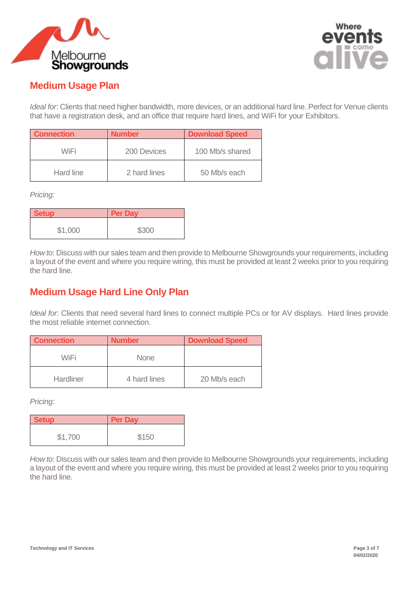



### **Medium Usage Plan**

*Ideal for*: Clients that need higher bandwidth, more devices, or an additional hard line. Perfect for Venue clients that have a registration desk, and an office that require hard lines, and WiFi for your Exhibitors.

| <b>Connection</b> | <b>Number</b> | <b>Download Speed</b> |
|-------------------|---------------|-----------------------|
| WiFi              | 200 Devices   | 100 Mb/s shared       |
| Hard line         | 2 hard lines  | 50 Mb/s each          |

*Pricing:* 

| <b>Setup</b> | <b>Per Day</b> |
|--------------|----------------|
| \$1,000      | \$300          |

*How to*: Discuss with our sales team and then provide to Melbourne Showgrounds your requirements, including a layout of the event and where you require wiring, this must be provided at least 2 weeks prior to you requiring the hard line.

## **Medium Usage Hard Line Only Plan**

*Ideal for*: Clients that need several hard lines to connect multiple PCs or for AV displays. Hard lines provide the most reliable internet connection.

| <b>Connection</b> | <b>Number</b> | <b>Download Speed</b> |
|-------------------|---------------|-----------------------|
| WiFi              | <b>None</b>   |                       |
| <b>Hardliner</b>  | 4 hard lines  | 20 Mb/s each          |

*Pricing:* 

| <b>Setup</b> | <b>Per Day</b> |
|--------------|----------------|
| \$1,700      | \$150          |

*How to*: Discuss with our sales team and then provide to Melbourne Showgrounds your requirements, including a layout of the event and where you require wiring, this must be provided at least 2 weeks prior to you requiring the hard line.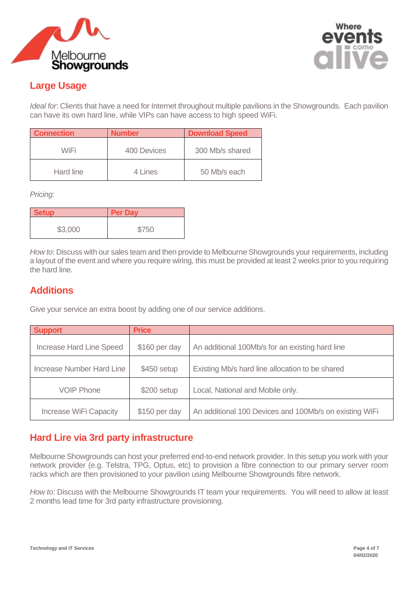



# **Large Usage**

*Ideal for*: Clients that have a need for Internet throughout multiple pavilions in the Showgrounds. Each pavilion can have its own hard line, while VIPs can have access to high speed WiFi.

| <b>Connection</b> | <b>Number</b> | <b>Download Speed</b> |  |
|-------------------|---------------|-----------------------|--|
| WiFi              | 400 Devices   | 300 Mb/s shared       |  |
| Hard line         | 4 Lines       | 50 Mb/s each          |  |

*Pricing:* 

| <b>Setup</b> | <b>Per Day</b> |
|--------------|----------------|
| \$3,000      | \$750          |

*How to*: Discuss with our sales team and then provide to Melbourne Showgrounds your requirements, including a layout of the event and where you require wiring, this must be provided at least 2 weeks prior to you requiring the hard line.

#### **Additions**

Give your service an extra boost by adding one of our service additions.

| <b>Support</b>                | <b>Price</b>  |                                                        |
|-------------------------------|---------------|--------------------------------------------------------|
| Increase Hard Line Speed      | \$160 per day | An additional 100Mb/s for an existing hard line        |
| Increase Number Hard Line     | \$450 setup   | Existing Mb/s hard line allocation to be shared        |
| <b>VOIP Phone</b>             | $$200$ setup  | Local, National and Mobile only.                       |
| <b>Increase WiFi Capacity</b> | \$150 per day | An additional 100 Devices and 100Mb/s on existing WiFi |

# **Hard Lire via 3rd party infrastructure**

Melbourne Showgrounds can host your preferred end-to-end network provider. In this setup you work with your network provider (e.g. Telstra, TPG, Optus, etc) to provision a fibre connection to our primary server room racks which are then provisioned to your pavilion using Melbourne Showgrounds fibre network.

*How to:* Discuss with the Melbourne Showgrounds IT team your requirements. You will need to allow at least 2 months lead time for 3rd party infrastructure provisioning.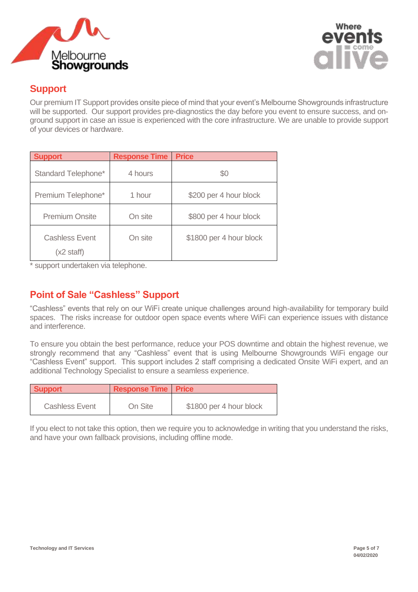



#### **Support**

Our premium IT Support provides onsite piece of mind that your event's Melbourne Showgrounds infrastructure will be supported. Our support provides pre-diagnostics the day before you event to ensure success, and onground support in case an issue is experienced with the core infrastructure. We are unable to provide support of your devices or hardware.

| <b>Support</b>                                | <b>Response Time</b> | <b>Price</b>            |
|-----------------------------------------------|----------------------|-------------------------|
| Standard Telephone*                           | 4 hours              | \$0                     |
| Premium Telephone*                            | 1 hour               | \$200 per 4 hour block  |
| <b>Premium Onsite</b>                         | On site              | \$800 per 4 hour block  |
| <b>Cashless Event</b><br>$(x2 \text{ staff})$ | On site              | \$1800 per 4 hour block |

\* support undertaken via telephone.

#### **Point of Sale "Cashless" Support**

"Cashless" events that rely on our WiFi create unique challenges around high-availability for temporary build spaces. The risks increase for outdoor open space events where WiFi can experience issues with distance and interference.

To ensure you obtain the best performance, reduce your POS downtime and obtain the highest revenue, we strongly recommend that any "Cashless" event that is using Melbourne Showgrounds WiFi engage our "Cashless Event" support. This support includes 2 staff comprising a dedicated Onsite WiFi expert, and an additional Technology Specialist to ensure a seamless experience.

| Support               | <b>Response Time Price</b> |                         |
|-----------------------|----------------------------|-------------------------|
| <b>Cashless Event</b> | On Site                    | \$1800 per 4 hour block |

If you elect to not take this option, then we require you to acknowledge in writing that you understand the risks, and have your own fallback provisions, including offline mode.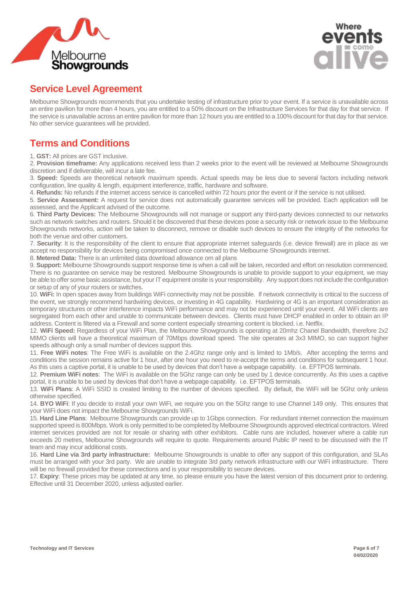



#### **Service Level Agreement**

Melbourne Showgrounds recommends that you undertake testing of infrastructure prior to your event. If a service is unavailable across an entire pavilion for more than 4 hours, you are entitled to a 50% discount on the Infrastructure Services for that day for that service. If the service is unavailable across an entire pavilion for more than 12 hours you are entitled to a 100% discount for that day for that service. No other service guarantees will be provided.

### **Terms and Conditions**

1, **GST:** All prices are GST inclusive.

2. **Provision timeframe:** Any applications received less than 2 weeks prior to the event will be reviewed at Melbourne Showgrounds discretion and if deliverable, will incur a late fee.

3. **Speed:** Speeds are theoretical network maximum speeds. Actual speeds may be less due to several factors including network configuration, line quality & length, equipment interference, traffic, hardware and software.

4. **Refunds:** No refunds if the internet access service is cancelled within 72 hours prior the event or if the service is not utilised.

5. **Service Assessment:** A request for service does not automatically guarantee services will be provided. Each application will be assessed, and the Applicant advised of the outcome.

6. **Third Party Devices:** The Melbourne Showgrounds will not manage or support any third-party devices connected to our networks such as network switches and routers. Should it be discovered that these devices pose a security risk or network issue to the Melbourne Showgrounds networks, action will be taken to disconnect, remove or disable such devices to ensure the integrity of the networks for both the venue and other customers.

7. **Security**: It is the responsibility of the client to ensure that appropriate internet safeguards (i.e. device firewall) are in place as we accept no responsibility for devices being compromised once connected to the Melbourne Showgrounds internet.

8. **Metered Data:** There is an unlimited data download allowance om all plans

9. **Support:** Melbourne Showgrounds support response time is when a call will be taken, recorded and effort on resolution commenced. There is no guarantee on service may be restored. Melbourne Showgrounds is unable to provide support to your equipment, we may be able to offer some basic assistance, but your IT equipment onsite is your responsibility. Any support does not include the configuration or setup of any of your routers or switches.

10. **WiFi:** In open spaces away from buildings WiFi connectivity may not be possible. If network connectivity is critical to the success of the event, we strongly recommend hardwiring devices, or investing in 4G capability. Hardwiring or 4G is an important consideration as temporary structures or other interference impacts WiFi performance and may not be experienced until your event. All WiFi clients are segregated from each other and unable to communicate between devices. Clients must have DHCP enabled in order to obtain an IP address. Content is filtered via a Firewall and some content especially streaming content is blocked. i.e. Netflix.

12. **WiFi Speed:** Regardless of your WiFi Plan, the Melbourne Showgrounds is operating at 20mhz Chanel Bandwidth, therefore 2x2 MIMO clients will have a theoretical maximum of 70Mbps download speed. The site operates at 3x3 MIMO, so can support higher speeds although only a small number of devices support this.

11. **Free WiFi notes**: The Free WiFi is available on the 2.4Ghz range only and is limited to 1Mb/s. After accepting the terms and conditions the session remains active for 1 hour, after one hour you need to re-accept the terms and conditions for subsequent 1 hour. As this uses a captive portal, it is unable to be used by devices that don't have a webpage capability. i.e. EFTPOS terminals.

12. **Premium WiFi notes**: The WiFi is available on the 5Ghz range can only be used by 1 device concurrently. As this uses a captive portal, it is unable to be used by devices that don't have a webpage capability. i.e. EFTPOS terminals.

13. **WiFi Plans**: A WiFi SSID is created limiting to the number of devices specified. By default, the WiFi will be 5Ghz only unless otherwise specified.

14. **BYO WiFi**: If you decide to install your own WiFi, we require you on the 5Ghz range to use Channel 149 only. This ensures that your WiFi does not impact the Melbourne Showgrounds WiFi.

15. **Hard Line Plans**: Melbourne Showgrounds can provide up to 1Gbps connection. For redundant internet connection the maximum supported speed is 800Mbps. Work is only permitted to be completed by Melbourne Showgrounds approved electrical contractors. Wired internet services provided are not for resale or sharing with other exhibitors. Cable runs are included, however where a cable run exceeds 20 metres, Melbourne Showgrounds will require to quote. Requirements around Public IP need to be discussed with the IT team and may incur additional costs.

16. **Hard Line via 3rd party infrastructure:** Melbourne Showgrounds is unable to offer any support of this configuration, and SLAs must be arranged with your 3rd party. We are unable to integrate 3rd party network infrastructure with our WiFi infrastructure. There will be no firewall provided for these connections and is your responsibility to secure devices.

17. **Expiry**: These prices may be updated at any time, so please ensure you have the latest version of this document prior to ordering. Effective until 31 December 2020, unless adjusted earlier.